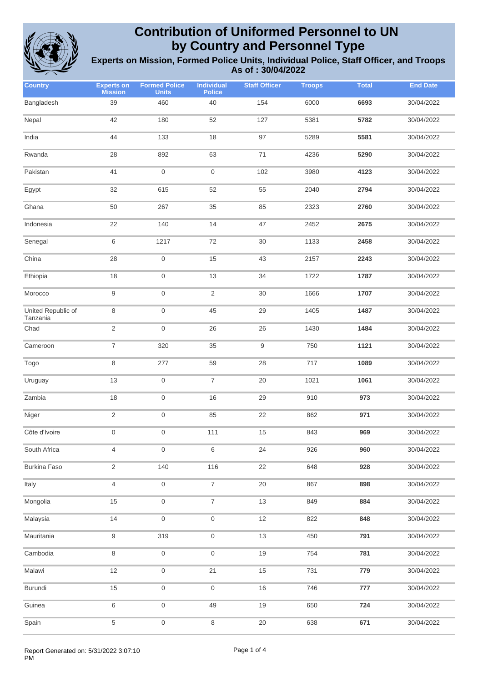

| <b>Country</b>                 | <b>Experts on</b><br><b>Mission</b> | <b>Formed Police</b><br><b>Units</b> | <b>Individual</b><br><b>Police</b> | <b>Staff Officer</b> | <b>Troops</b> | <b>Total</b> | <b>End Date</b> |
|--------------------------------|-------------------------------------|--------------------------------------|------------------------------------|----------------------|---------------|--------------|-----------------|
| Bangladesh                     | 39                                  | 460                                  | 40                                 | 154                  | 6000          | 6693         | 30/04/2022      |
| Nepal                          | 42                                  | 180                                  | 52                                 | 127                  | 5381          | 5782         | 30/04/2022      |
| India                          | 44                                  | 133                                  | 18                                 | 97                   | 5289          | 5581         | 30/04/2022      |
| Rwanda                         | 28                                  | 892                                  | 63                                 | 71                   | 4236          | 5290         | 30/04/2022      |
| Pakistan                       | 41                                  | $\mathbf 0$                          | $\boldsymbol{0}$                   | 102                  | 3980          | 4123         | 30/04/2022      |
| Egypt                          | 32                                  | 615                                  | 52                                 | 55                   | 2040          | 2794         | 30/04/2022      |
| Ghana                          | 50                                  | 267                                  | 35                                 | 85                   | 2323          | 2760         | 30/04/2022      |
| Indonesia                      | 22                                  | 140                                  | 14                                 | 47                   | 2452          | 2675         | 30/04/2022      |
| Senegal                        | 6                                   | 1217                                 | 72                                 | 30                   | 1133          | 2458         | 30/04/2022      |
| China                          | 28                                  | $\boldsymbol{0}$                     | 15                                 | 43                   | 2157          | 2243         | 30/04/2022      |
| Ethiopia                       | 18                                  | $\mathsf{O}\xspace$                  | 13                                 | 34                   | 1722          | 1787         | 30/04/2022      |
| Morocco                        | $\boldsymbol{9}$                    | $\mathsf{O}\xspace$                  | $\sqrt{2}$                         | $30\,$               | 1666          | 1707         | 30/04/2022      |
| United Republic of<br>Tanzania | 8                                   | $\boldsymbol{0}$                     | 45                                 | 29                   | 1405          | 1487         | 30/04/2022      |
| Chad                           | $\sqrt{2}$                          | $\boldsymbol{0}$                     | 26                                 | 26                   | 1430          | 1484         | 30/04/2022      |
| Cameroon                       | $\boldsymbol{7}$                    | 320                                  | 35                                 | 9                    | 750           | 1121         | 30/04/2022      |
| Togo                           | 8                                   | 277                                  | 59                                 | 28                   | 717           | 1089         | 30/04/2022      |
| Uruguay                        | 13                                  | $\boldsymbol{0}$                     | $\boldsymbol{7}$                   | 20                   | 1021          | 1061         | 30/04/2022      |
| Zambia                         | 18                                  | $\mathsf{O}\xspace$                  | 16                                 | 29                   | 910           | 973          | 30/04/2022      |
| Niger                          | $\sqrt{2}$                          | $\mathsf{O}\xspace$                  | 85                                 | 22                   | 862           | 971          | 30/04/2022      |
| Côte d'Ivoire                  | $\boldsymbol{0}$                    | $\boldsymbol{0}$                     | 111                                | 15                   | 843           | 969          | 30/04/2022      |
| South Africa                   | 4                                   | $\mathsf{O}\xspace$                  | 6                                  | 24                   | 926           | 960          | 30/04/2022      |
| <b>Burkina Faso</b>            | $\overline{2}$                      | 140                                  | 116                                | 22                   | 648           | 928          | 30/04/2022      |
| Italy                          | 4                                   | $\mathsf{O}\xspace$                  | $\overline{\mathcal{I}}$           | $20\,$               | 867           | 898          | 30/04/2022      |
| Mongolia                       | 15                                  | $\mathsf{O}\xspace$                  | $\overline{7}$                     | $13$                 | 849           | 884          | 30/04/2022      |
| Malaysia                       | 14                                  | $\boldsymbol{0}$                     | $\mathsf{O}\xspace$                | $12$                 | 822           | 848          | 30/04/2022      |
| Mauritania                     | $\boldsymbol{9}$                    | 319                                  | $\boldsymbol{0}$                   | $13$                 | 450           | 791          | 30/04/2022      |
| Cambodia                       | 8                                   | $\mathsf{O}\xspace$                  | $\boldsymbol{0}$                   | $19$                 | 754           | 781          | 30/04/2022      |
| Malawi                         | 12                                  | $\mathsf{O}\xspace$                  | 21                                 | 15                   | 731           | 779          | 30/04/2022      |
| Burundi                        | 15                                  | $\mathsf{O}\xspace$                  | $\mathbf 0$                        | $16\,$               | 746           | 777          | 30/04/2022      |
| Guinea                         | 6                                   | $\boldsymbol{0}$                     | 49                                 | $19$                 | 650           | 724          | 30/04/2022      |
| Spain                          | $\,$ 5 $\,$                         | $\mathsf{O}\xspace$                  | $\,8\,$                            | $20\,$               | 638           | 671          | 30/04/2022      |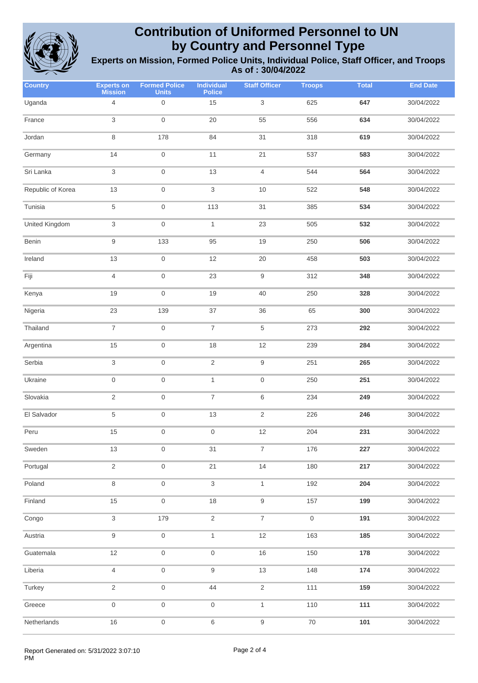

| <b>Country</b>    | <b>Experts on</b><br><b>Mission</b> | <b>Formed Police</b><br><b>Units</b> | <b>Individual</b><br>Police | <b>Staff Officer</b>      | <b>Troops</b>       | <b>Total</b> | <b>End Date</b> |
|-------------------|-------------------------------------|--------------------------------------|-----------------------------|---------------------------|---------------------|--------------|-----------------|
| Uganda            | $\overline{4}$                      | $\mathbf 0$                          | 15                          | $\ensuremath{\mathsf{3}}$ | 625                 | 647          | 30/04/2022      |
| France            | 3                                   | $\boldsymbol{0}$                     | 20                          | 55                        | 556                 | 634          | 30/04/2022      |
| Jordan            | $\,8\,$                             | 178                                  | 84                          | 31                        | 318                 | 619          | 30/04/2022      |
| Germany           | 14                                  | $\mathbf 0$                          | 11                          | 21                        | 537                 | 583          | 30/04/2022      |
| Sri Lanka         | 3                                   | $\mathsf{O}\xspace$                  | 13                          | $\overline{4}$            | 544                 | 564          | 30/04/2022      |
| Republic of Korea | 13                                  | $\mathsf{O}\xspace$                  | 3                           | 10                        | 522                 | 548          | 30/04/2022      |
| Tunisia           | 5                                   | $\mathsf{O}\xspace$                  | 113                         | 31                        | 385                 | 534          | 30/04/2022      |
| United Kingdom    | 3                                   | $\boldsymbol{0}$                     | 1                           | 23                        | 505                 | 532          | 30/04/2022      |
| Benin             | 9                                   | 133                                  | 95                          | 19                        | 250                 | 506          | 30/04/2022      |
| Ireland           | $13$                                | $\mathsf{O}\xspace$                  | 12                          | $20\,$                    | 458                 | 503          | 30/04/2022      |
| Fiji              | 4                                   | $\mathbf 0$                          | 23                          | $\boldsymbol{9}$          | 312                 | 348          | 30/04/2022      |
| Kenya             | 19                                  | $\mathbf 0$                          | 19                          | 40                        | 250                 | 328          | 30/04/2022      |
| Nigeria           | 23                                  | 139                                  | 37                          | 36                        | 65                  | 300          | 30/04/2022      |
| Thailand          | $\overline{7}$                      | $\mathbf 0$                          | $\overline{7}$              | $\,$ 5 $\,$               | 273                 | 292          | 30/04/2022      |
| Argentina         | 15                                  | $\mathbf 0$                          | 18                          | 12                        | 239                 | 284          | 30/04/2022      |
| Serbia            | 3                                   | $\mathbf 0$                          | $\overline{2}$              | $\boldsymbol{9}$          | 251                 | 265          | 30/04/2022      |
| Ukraine           | $\mathbf 0$                         | $\mathbf 0$                          | $\mathbf{1}$                | $\boldsymbol{0}$          | 250                 | 251          | 30/04/2022      |
| Slovakia          | $\sqrt{2}$                          | $\mathbf 0$                          | 7                           | 6                         | 234                 | 249          | 30/04/2022      |
| El Salvador       | 5                                   | $\mathbf 0$                          | 13                          | $\sqrt{2}$                | 226                 | 246          | 30/04/2022      |
| Peru              | 15                                  | $\mathbf 0$                          | $\mathsf{O}\xspace$         | 12                        | 204                 | 231          | 30/04/2022      |
| Sweden            | $13$                                | $\,0\,$                              | 31                          | $\boldsymbol{7}$          | 176                 | 227          | 30/04/2022      |
| Portugal          | $\overline{2}$                      | $\mathsf{O}\xspace$                  | 21                          | 14                        | 180                 | 217          | 30/04/2022      |
| Poland            | 8                                   | $\mathsf{O}\xspace$                  | $\,$ 3 $\,$                 | $\mathbf{1}$              | 192                 | 204          | 30/04/2022      |
| Finland           | 15                                  | $\mathsf{O}\xspace$                  | 18                          | $\boldsymbol{9}$          | 157                 | 199          | 30/04/2022      |
| Congo             | 3                                   | 179                                  | $\sqrt{2}$                  | $\boldsymbol{7}$          | $\mathsf{O}\xspace$ | 191          | 30/04/2022      |
| Austria           | 9                                   | $\mathsf{O}\xspace$                  | $\mathbf{1}$                | $12$                      | 163                 | 185          | 30/04/2022      |
| Guatemala         | 12                                  | $\mathsf{O}\xspace$                  | $\,0\,$                     | 16                        | 150                 | 178          | 30/04/2022      |
| Liberia           | $\overline{4}$                      | $\mathsf{O}\xspace$                  | $\mathsf 9$                 | $13$                      | 148                 | 174          | 30/04/2022      |
| Turkey            | $\sqrt{2}$                          | $\mathsf{O}\xspace$                  | 44                          | $\mathbf 2$               | 111                 | 159          | 30/04/2022      |
| Greece            | $\mathbf 0$                         | $\boldsymbol{0}$                     | $\,0\,$                     | $\mathbf{1}$              | 110                 | 111          | 30/04/2022      |
| Netherlands       | 16                                  | $\mathsf{O}\xspace$                  | 6                           | $\boldsymbol{9}$          | $70\,$              | 101          | 30/04/2022      |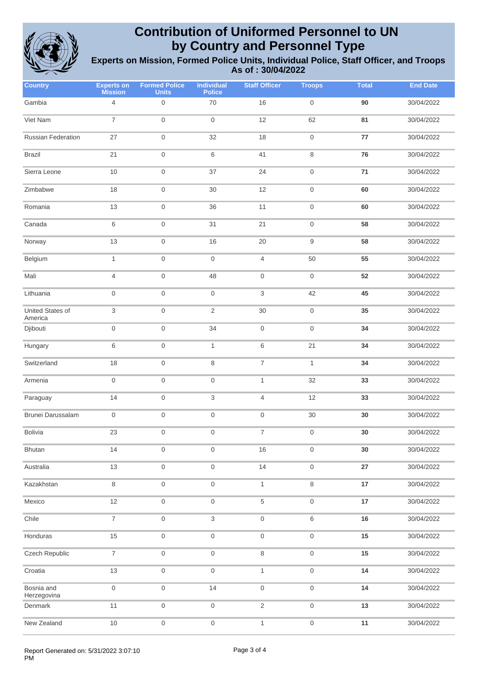

| <b>Country</b>              | <b>Experts on</b><br><b>Mission</b> | <b>Formed Police</b><br><b>Units</b> | <b>Individual</b><br><b>Police</b> | <b>Staff Officer</b>      | <b>Troops</b>       | <b>Total</b> | <b>End Date</b> |
|-----------------------------|-------------------------------------|--------------------------------------|------------------------------------|---------------------------|---------------------|--------------|-----------------|
| Gambia                      | $\overline{4}$                      | $\boldsymbol{0}$                     | 70                                 | 16                        | $\mathsf{O}\xspace$ | 90           | 30/04/2022      |
| Viet Nam                    | $\overline{7}$                      | $\mathbf 0$                          | $\,0\,$                            | 12                        | 62                  | 81           | 30/04/2022      |
| Russian Federation          | 27                                  | $\mathbf 0$                          | 32                                 | 18                        | $\,0\,$             | 77           | 30/04/2022      |
| <b>Brazil</b>               | 21                                  | $\mathbf 0$                          | 6                                  | 41                        | $\,8\,$             | 76           | 30/04/2022      |
| Sierra Leone                | 10                                  | $\mathbf 0$                          | 37                                 | 24                        | $\boldsymbol{0}$    | $71$         | 30/04/2022      |
| Zimbabwe                    | 18                                  | $\mathbf 0$                          | 30                                 | 12                        | $\mathsf{O}\xspace$ | 60           | 30/04/2022      |
| Romania                     | 13                                  | $\mathbf 0$                          | 36                                 | 11                        | $\mathsf{O}\xspace$ | 60           | 30/04/2022      |
| Canada                      | 6                                   | $\mathbf 0$                          | 31                                 | 21                        | $\,0\,$             | 58           | 30/04/2022      |
| Norway                      | 13                                  | $\mathbf 0$                          | 16                                 | 20                        | $\boldsymbol{9}$    | 58           | 30/04/2022      |
| Belgium                     | $\mathbf{1}$                        | $\mathbf 0$                          | $\mathsf{O}\xspace$                | $\overline{4}$            | 50                  | 55           | 30/04/2022      |
| Mali                        | 4                                   | $\mathbf 0$                          | 48                                 | $\boldsymbol{0}$          | $\,0\,$             | 52           | 30/04/2022      |
| Lithuania                   | $\boldsymbol{0}$                    | $\mathbf 0$                          | $\mathsf{O}\xspace$                | $\ensuremath{\mathsf{3}}$ | 42                  | 45           | 30/04/2022      |
| United States of<br>America | 3                                   | $\mathbf 0$                          | $\overline{2}$                     | 30                        | $\mathsf{O}\xspace$ | 35           | 30/04/2022      |
| Djibouti                    | $\boldsymbol{0}$                    | $\mathbf 0$                          | 34                                 | $\mathsf{O}\xspace$       | $\boldsymbol{0}$    | 34           | 30/04/2022      |
| Hungary                     | $\,6\,$                             | $\mathbf 0$                          | $\mathbf{1}$                       | 6                         | 21                  | 34           | 30/04/2022      |
| Switzerland                 | 18                                  | $\mathbf 0$                          | 8                                  | $\overline{\mathcal{I}}$  | $\mathbf{1}$        | 34           | 30/04/2022      |
| Armenia                     | $\boldsymbol{0}$                    | $\mathbf 0$                          | $\mathsf{O}\xspace$                | 1                         | 32                  | 33           | 30/04/2022      |
| Paraguay                    | 14                                  | $\boldsymbol{0}$                     | 3                                  | 4                         | 12                  | 33           | 30/04/2022      |
| Brunei Darussalam           | $\boldsymbol{0}$                    | $\mathbf 0$                          | $\mathsf{O}\xspace$                | $\mathsf{O}\xspace$       | $30\,$              | 30           | 30/04/2022      |
| <b>Bolivia</b>              | 23                                  | $\mathbf 0$                          | $\boldsymbol{0}$                   | $\boldsymbol{7}$          | $\boldsymbol{0}$    | 30           | 30/04/2022      |
| <b>Bhutan</b>               | 14                                  | $\mathsf{O}\xspace$                  | 0                                  | 16                        | $\mathsf{O}\xspace$ | $30\,$       | 30/04/2022      |
| Australia                   | 13                                  | $\mathsf{O}\xspace$                  | $\mathsf{O}\xspace$                | 14                        | $\mathsf{O}\xspace$ | 27           | 30/04/2022      |
| Kazakhstan                  | $\,8\,$                             | $\mathsf{O}\xspace$                  | $\mathsf{O}\xspace$                | $\mathbf{1}$              | $\,8\,$             | 17           | 30/04/2022      |
| Mexico                      | 12                                  | $\mathsf{O}\xspace$                  | $\mathsf{O}\xspace$                | $\,$ 5 $\,$               | $\mathsf{O}\xspace$ | 17           | 30/04/2022      |
| Chile                       | $\overline{7}$                      | $\mathsf{O}\xspace$                  | 3                                  | $\mathsf{O}\xspace$       | $\,6\,$             | 16           | 30/04/2022      |
| Honduras                    | 15                                  | $\mathsf{O}\xspace$                  | $\mathsf{O}\xspace$                | $\mathsf{O}\xspace$       | $\mathsf{O}\xspace$ | 15           | 30/04/2022      |
| Czech Republic              | $\overline{7}$                      | $\mathsf{O}\xspace$                  | $\mathsf{O}\xspace$                | $\,8\,$                   | $\mathsf{O}\xspace$ | 15           | 30/04/2022      |
| Croatia                     | 13                                  | $\mathsf{O}\xspace$                  | $\mathsf{O}\xspace$                | $\mathbf{1}$              | $\mathsf{O}\xspace$ | 14           | 30/04/2022      |
| Bosnia and<br>Herzegovina   | $\boldsymbol{0}$                    | $\mathsf{O}\xspace$                  | 14                                 | $\mathsf{O}\xspace$       | $\mathsf{O}\xspace$ | 14           | 30/04/2022      |
| Denmark                     | 11                                  | $\mathsf{O}\xspace$                  | $\,0\,$                            | $\sqrt{2}$                | $\mathsf{O}\xspace$ | $13$         | 30/04/2022      |
| New Zealand                 | $10$                                | $\mathsf{O}\xspace$                  | $\mathsf{O}\xspace$                | $\mathbf{1}$              | $\mathsf{O}\xspace$ | 11           | 30/04/2022      |